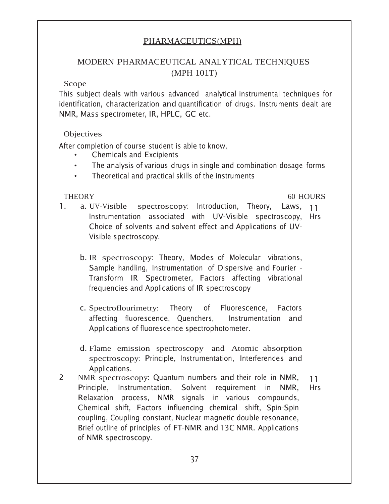## PHARMACEUTICS(MPH)

# MODERN PHARMACEUTICAL ANALYTICAL TECHNIQUES (MPH 101T)

#### Scope

This subject deals with various advanced analytical instrumental techniques for identification, characterization and quantification of drugs. Instruments dealt are NMR, Mass spectrometer, IR, HPLC, GC etc.

## Objectives

After completion of course student is able to know,

- **Chemicals and Excipients**
- The analysis of various drugs in single and combination dosage forms  $\bullet$
- Theoretical and practical skills of the instruments  $\bullet$

## **THEORY**

#### 60 HOURS

- $\mathbf{1}$ . a. UV-Visible spectroscopy: Introduction, Theory, Laws, 11 Instrumentation associated with UV-Visible spectroscopy, Hrs Choice of solvents and solvent effect and Applications of UV-Visible spectroscopy.
	- b. IR spectroscopy: Theory, Modes of Molecular vibrations, Sample handling, Instrumentation of Dispersive and Fourier -Transform IR Spectrometer, Factors affecting vibrational frequencies and Applications of IR spectroscopy
	- c. Spectroflourimetry: Theory of Fluorescence, Factors affecting fluorescence, Quenchers, Instrumentation and Applications of fluorescence spectrophotometer.
	- d. Flame emission spectroscopy and Atomic absorption spectroscopy: Principle, Instrumentation, Interferences and Applications.
- $\mathcal{P}$ NMR spectroscopy: Quantum numbers and their role in NMR,  $11$ Principle, Instrumentation, Solvent requirement in NMR, **Hrs** Relaxation process, NMR signals in various compounds, Chemical shift, Factors influencing chemical shift, Spin-Spin coupling, Coupling constant, Nuclear magnetic double resonance, Brief outline of principles of FT-NMR and 13C NMR. Applications of NMR spectroscopy.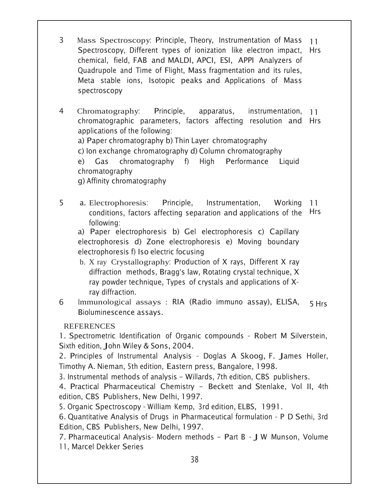- $\mathbf{3}$ Mass Spectroscopy: Principle, Theory, Instrumentation of Mass  $11$ Spectroscopy, Different types of ionization like electron impact. **Hrs** chemical, field, FAB and MALDI, APCI, ESI, APPI Analyzers of Quadrupole and Time of Flight, Mass fragmentation and its rules, Meta stable ions, Isotopic peaks and Applications of Mass spectroscopy
- $\overline{4}$ Chromatography. Principle, apparatus, instrumentation.  $11$ chromatographic parameters, factors affecting resolution and Hrs applications of the following:

a) Paper chromatography b) Thin Layer chromatography

c) Ion exchange chromatography d) Column chromatography

e) Gas chromatography f) High Performance Liguid chromatography

g) Affinity chromatography

5 a. Electrophoresis: Principle, Instrumentation, Working  $11$ conditions, factors affecting separation and applications of the **Hrs** following:

a) Paper electrophoresis b) Gel electrophoresis c) Capillary electrophoresis d) Zone electrophoresis e) Moving boundary electrophoresis f) Iso electric focusing

- b. X ray Crystallography: Production of X rays, Different X rav diffraction methods, Bragg's law, Rotating crystal technique, X ray powder technique, Types of crystals and applications of Xrav diffraction.
- Immunological assays : RIA (Radio immuno assay), ELISA, 6 5 Hrs Bioluminescence assays.

**REFERENCES** 

1. Spectrometric Identification of Organic compounds - Robert M Silverstein, Sixth edition, John Wiley & Sons, 2004.

2. Principles of Instrumental Analysis - Doglas A Skoog, F. James Holler, Timothy A. Nieman, 5th edition, Eastern press, Bangalore, 1998.

3. Instrumental methods of analysis - Willards, 7th edition, CBS publishers.

4. Practical Pharmaceutical Chemistry - Beckett and Stenlake, Vol II, 4th edition, CBS Publishers, New Delhi, 1997.

5. Organic Spectroscopy - William Kemp, 3rd edition, ELBS, 1991.

6. Quantitative Analysis of Drugs in Pharmaceutical formulation - P D Sethi, 3rd Edition, CBS Publishers, New Delhi, 1997.

7. Pharmaceutical Analysis- Modern methods - Part B - J W Munson, Volume 11, Marcel Dekker Series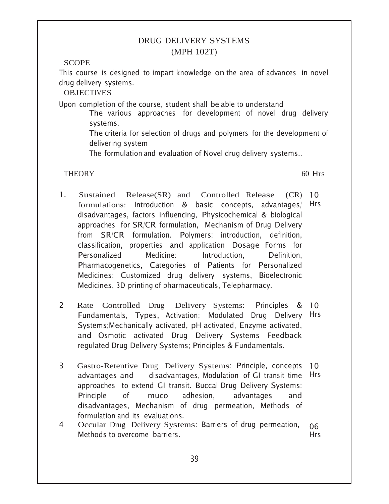## DRUG DELIVERY SYSTEMS (MPH 102T)

#### **SCOPE**

This course is designed to impart knowledge on the area of advances in novel drug delivery systems.

**OBJECTIVES** 

Upon completion of the course, student shall be able to understand

The various approaches for development of novel drug delivery systems.

The criteria for selection of drugs and polymers for the development of delivering system

The formulation and evaluation of Novel drug delivery systems..

## THEORY 60 Hrs

- 1. Sustained Release(SR) and Controlled Release formulations: Introduction & basic concepts, advantages/ Hrs disadvantages, factors influencing, Physicochemical & biological approaches for SR/CR formulation, Mechanism of Drug Delivery from SR/CR formulation. Polymers: introduction, definition, classification, properties and application Dosage Forms for Personalized Medicine: Introduction. Definition. Pharmacogenetics, Categories of Patients for Personalized Medicines: Customized drug delivery systems, Bioelectronic Medicines, 3D printing of pharmaceuticals, Telepharmacy.  $(CR)$  10
- 2 Rate Controlled Drug Delivery Systems: Fundamentals, Types, Activation; Modulated Drug Delivery Hrs Systems;Mechanically activated, pH activated, Enzyme activated, and Osmotic activated Drug Delivery Systems Feedback regulated Drug Delivery Systems; Principles & Fundamentals. Principles & 10
- 3 Gastro-Retentive Drug Delivery Systems: Principle, concepts advantages and , Modulation of GI transit time Hrs approaches to extend GI transit. Buccal Drug Delivery Systems: Principle of muco adhesion, advantages and disadvantages, Mechanism of drug permeation, Methods of formulation and its evaluations.  $10^{-7}$
- 4 Occular Drug Delivery Systems: Barriers of drug permeation, Methods to overcome barriers. 06 Hrs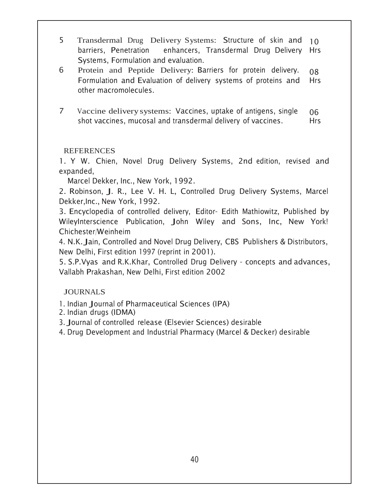- 5 Transdermal Drug Delivery Systems: Structure of skin and 10 barriers, Penetration enhancers, enhancers, Transdermal Drug Delivery Systems, Formulation and evaluation. Hrs
- 6 Protein and Peptide Delivery: Barriers for protein delivery. Formulation and Evaluation of delivery systems of proteins and other macromolecules. 08 Hrs
- 7 Vaccine delivery systems: Vaccines, uptake of antigens, single shot vaccines, mucosal and transdermal delivery of vaccines. 06 Hrs

1. Y W. Chien, Novel Drug Delivery Systems, 2nd edition, revised and expanded,

Marcel Dekker, Inc., New York, 1992.

2. Robinson, J. R., Lee V. H. L, Controlled Drug Delivery Systems, Marcel Dekker,Inc., New York, 1992.

3. Encyclopedia of controlled delivery, Editor- Edith Mathiowitz, Published by WileyInterscience Publication, John Wiley and Sons, Inc, New York! Chichester/Weinheim

4. N.K. Jain, Controlled and Novel Drug Delivery, CBS Publishers & Distributors, New Delhi, First edition 1997 (reprint in 2001).

5. S.P. Vyas and R.K. Khar, Controlled Drug Delivery - concepts and advances, Vallabh Prakashan, New Delhi, First edition 2002

## **JOURNALS**

- 1. Indian Journal of Pharmaceutical Sciences (IPA)
- 2. Indian drugs (IDMA)

3. Journal of controlled release (Elsevier Sciences) desirable

4. Drug Development and Industrial Pharmacy (Marcel & Decker) desirable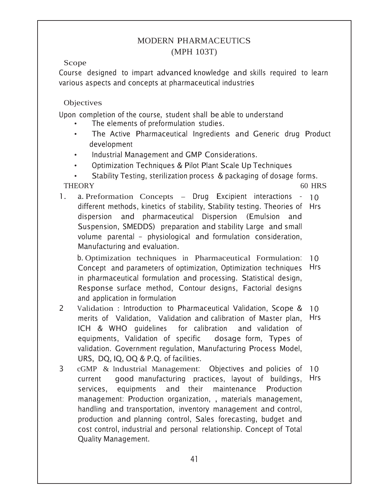## MODERN PHARMACEUTICS (MPH 103T)

Scope

Course designed to impart advanced knowledge and skills required to learn various aspects and concepts at pharmaceutical industries

## **Objectives**

Upon completion of the course, student shall be able to understand

- The elements of preformulation studies.
- The Active Pharmaceutical Ingredients and Generic drug Product development
- Industrial Management and GMP Considerations.
- Optimization Techniques & Pilot Plant Scale Up Techniques

• Stability Testing, sterilization process & packaging of dosage forms. THEORY 60 HRS

1. a. Preformation Concepts - Drug Excipient interactions - 10 different methods, kinetics of stability, Stability testing. Theories of Hrs dispersion and pharmaceutical Dispersion (Emulsion and Suspension, SMEDDS) preparation and stability Large and small volume parental - physiological and formulation consideration, Manufacturing and evaluation.

b. Optimization techniques in Pharmaceutical Formulation. Concept and parameters of optimization, Optimization techniques in pharmaceutical formulation and processing. Statistical design, Response surface method, Contour designs, Factorial designs and application in formulation  $10<sup>°</sup>$ Hrs

- 2 Validation : Introduction to Pharmaceutical Validation, Scope & merits of Validation, Validation and calibration of Master plan, ICH & WHO quidelines for calibration and validation of equipments, Validation of specific dosage-form, dosage form, Types of validation. Government regulation, Manufacturing Process Model,  $URS, DQ, IQ, OQ & P.Q.$  of facilities. 10 Hrs
- 3 cGMP & Industrial Management: Objectives and policies of 10 current good manufacturing practices, layout of buildings, services. equipments and their maintenance Production management: Production organization, , materials management, handling and transportation, inventory management and control, production and planning control, Sales forecasting, budget and cost control, industrial and personal relationship. Concept of Total Quality Management. Hrs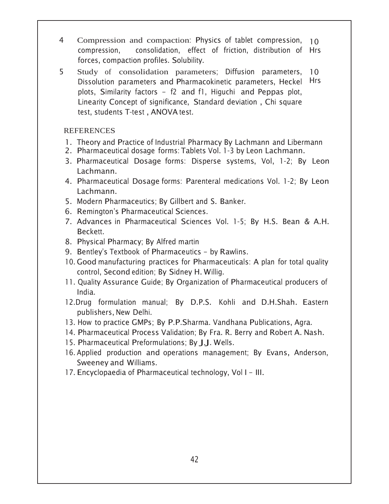- 4 Compression and compaction: Physics of tablet compression, 10 compression. consolidation, effect of friction, distribution of Hrs forces, compaction profiles. Solubility.
- 5 Study of consolidation parameters; Diffusion parameters, 10 Dissolution parameters and Pharmacokinetic parameters, Heckel Hrs plots, Similarity factors - f2 and f1, Higuchi and Peppas plot, Linearity Concept of significance, Standard deviation, Chi square test, students T-test , ANOVA test.

- 1. Theory and Practice of Industrial Pharmacy By Lachmann and Libermann
- 2. Pharmaceutical dosage forms: Tablets Vol. 1-3 by Leon Lachmann.
- 3. Pharmaceutical Dosage forms: Disperse systems, Vol, 1-2; By Leon Lachmann.
- 4. Pharmaceutical Dosage forms: Parenteral medications Vol. 1-2; By Leon Lachmann.
- 5. Modern Pharmaceutics: By Gillbert and S. Banker.
- 6. Remington's Pharmaceutical Sciences.
- 7. Advances in Pharmaceutical Sciences Vol. 1-5; By H.S. Bean & A.H. Beckett.
- 8. Physical Pharmacy; By Alfred martin
- 9. Bentley's Textbook of Pharmaceutics by Rawlins.
- 10. Good manufacturing practices for Pharmaceuticals: A plan for total quality control, Second edition; By Sidney H. Willig.
- 11. Quality Assurance Guide; By Organization of Pharmaceutical producers of India.
- 12. Drug formulation manual; By D.P.S. Kohli and D.H.Shah. Eastern publishers, New Delhi.
- 13. How to practice GMPs; By P.P.Sharma. Vandhana Publications, Agra.
- 14. Pharmaceutical Process Validation; By Fra. R. Berry and Robert A. Nash.
- 15. Pharmaceutical Preformulations; By J.J. Wells.
- 16. Applied production and operations management; By Evans, Anderson, Sweeney and Williams.
- 17. Encyclopaedia of Pharmaceutical technology, Vol I III.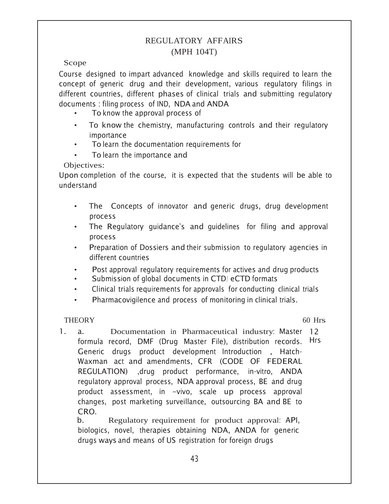## **REGULATORY AFFAIRS** (MPH 104T)

## Scope

Course designed to impart advanced knowledge and skills required to learn the concept of generic drug and their development, various regulatory filings in different countries, different phases of clinical trials and submitting regulatory documents: filing process of IND, NDA and ANDA

- To know the approval process of
- To know the chemistry, manufacturing controls and their regulatory  $\bullet$ importance
- To learn the documentation requirements for
- To learn the importance and

Objectives:

Upon completion of the course, it is expected that the students will be able to understand

- The Concepts of innovator and generic drugs, drug development  $\bullet$ process
- The Regulatory guidance's and guidelines for filing and approval  $\bullet$ process
- Preparation of Dossiers and their submission to regulatory agencies in different countries
- Post approval regulatory reguirements for actives and drug products
- Submission of global documents in CTD/ eCTD formats  $\bullet$
- Clinical trials requirements for approvals for conducting clinical trials  $\bullet$
- Pharmacovigilence and process of monitoring in clinical trials.  $\bullet$

## **THEORY**

 $60$  Hrs

 $\mathbf{1}$  $a<sub>z</sub>$ Documentation in Pharmaceutical industry: Master 12 formula record, DMF (Drug Master File), distribution records. Hrs Generic drugs product development Introduction, Hatch-Waxman act and amendments. CFR (CODE OF FEDERAL REGULATION) , drug product performance, in-vitro, ANDA regulatory approval process, NDA approval process, BE and drug product assessment, in -vivo, scale up process approval changes, post marketing surveillance, outsourcing BA and BE to CRO.

 $b_{-}$ Regulatory requirement for product approval: API, biologics, novel, therapies obtaining NDA, ANDA for generic drugs ways and means of US registration for foreign drugs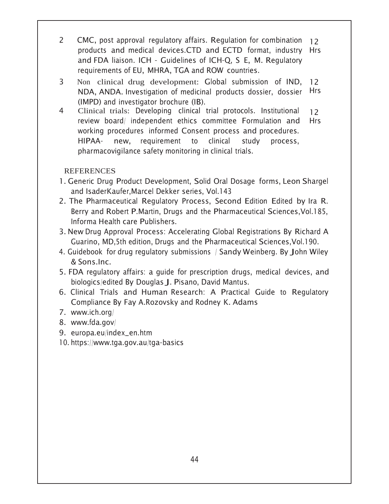- 2 CMC, post approval regulatory affairs. Regulation for combination 12 products and medical devices.CTD and ECTD format, industry Hrs and FDA liaison. ICH - Guidelines of ICH-Q, S E, M. Regulatory requirements of EU, MHRA, TGA and ROW countries.
- 3 Non clinical drug development: Global submission of IND, 12 NDA, ANDA. Investigation of medicinal products dossier, dossier (IMPD) and investigator brochure (IB). Hrs
- 4 Clinical trials: Developing clinical trial protocols. Institutional review board/ independent ethics committee Formulation and working procedures informed Consent process and procedures. HIPAAnew, requirement to clinical study process, pharmacovigilance safety monitoring in clinical trials.  $12<sup>2</sup>$ Hrs

- 1. Generic Drug Product Development, Solid Oral Dosage forms, Leon Shargel and IsaderKaufer,Marcel Dekker series, Vol.143
- 2. The Pharmaceutical Regulatory Process, Second Edition Edited by Ira R. Berry and Robert P.Martin, Drugs and the Pharmaceutical Sciences, Vol.185, Informa Health care Publishers.
- 3. New Drug Approval Process: Accelerating Global Registrations By Richard A Guarino, MD, 5th edition, Drugs and the Pharmaceutical Sciences, Vol. 190.
- 4. Guidebook for drug regulatory submissions / Sandy Weinberg. By John Wiley & Sons.Inc.
- 5. FDA regulatory affairs: a guide for prescription drugs, medical devices, and biologics/edited By Douglas J. Pisano, David Mantus.
- 6. Clinical Trials and Human Research: A Practical Guide to Regulatory Compliance By Fay A. Rozovsky and Rodney K. Adams
- 7. www.ich.org/
- 8. www.fda.gov/
- 9. europa.eu/index\_en.htm
- 10. https://www.tga.gov.au/tga-basics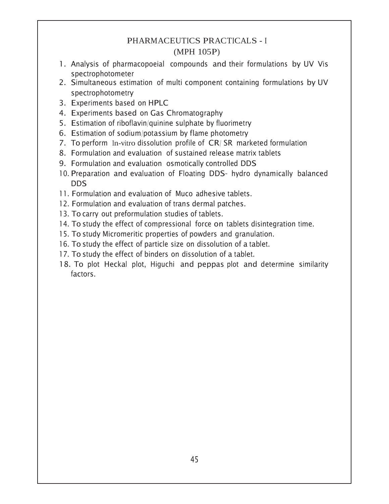# PHARMACEUTICS PRACTICALS - <sup>I</sup> (MPH 105P)

- 1. Analysis of pharmacopoeial compounds and their formulations by UV Vis spectrophotometer
- 2. Simultaneous estimation of multi component containing formulations by UV spectrophotometry
- 3. Experiments based on HPLC
- 4. Experiments based on Gas Chromatography
- 5. Estimation of riboflavin/quinine sulphate by fluorimetry
- 6. Estimation of sodium/potassium by flame photometry
- 7. To perform In-vitro dissolution profile of CR/SR marketed formulation
- 8. Formulation and evaluation of sustained release matrix tablets
- 9. Formulation and evaluation osmotically controlled DDS
- 10. Preparation and evaluation of Floating DDS- hydro dynamically balanced  $DDS$
- 11. Formulation and evaluation of Muco adhesive tablets.
- 12. Formulation and evaluation of trans dermal patches.
- 13. To carry out preformulation studies of tablets.
- 14. To study the effect of compressional force on tablets disintegration time.
- 15. To study Micromeritic properties of powders and granulation.
- 16. To study the effect of particle size on dissolution of a tablet.
- 17. To study the effect of binders on dissolution of a tablet.
- 18. To plot Heckal plot, Higuchi and peppas plot and determine similarity factors.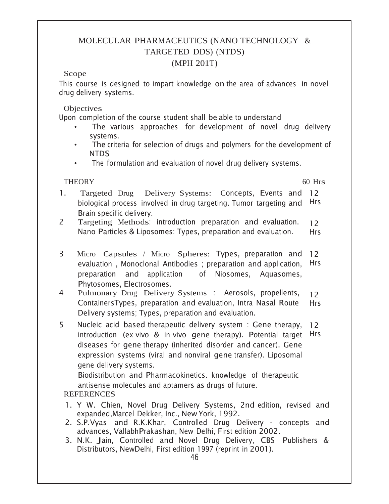# MOLECULAR PHARMACEUTICS (NANO TECHNOLOGY & TARGETED DDS) (NTDS)

#### (MPH 201T)

#### Scope

This course is designed to impart knowledge on the area of advances in novel drug delivery systems.

**Objectives** 

Upon completion of the course student shall be able to understand

- The various approaches for development of novel drug delivery systems.
- The criteria for selection of drugs and polymers for the development of NTDS
- The formulation and evaluation of novel drug delivery systems.

# THEORY 60 Hrs

- 1. Targeted Drug Delivery Systems: Concepts, Events and 12 biological process involved in drug targeting. Tumor targeting and Hrs Brain specific delivery.
- 2 Targeting Methods: introduction preparation and evaluation. Nano Particles & Liposomes: Types, preparation and evaluation.  $12<sup>°</sup>$ Hrs
- 3 Micro Capsules / Micro Spheres: Types, preparation and 12 evaluation , Monoclonal Antibodies ; preparation and application, preparation and application of Niosomes. Aguasomes. Phytosomes, Electrosomes. Hrs
- 4 Pulmonary Drug Delivery Systems : Aerosols, propellents, ContainersTypes, preparation and evaluation, Intra Nasal Route Delivery systems; Types, preparation and evaluation.  $12<sup>°</sup>$ Hrs
- 5 Nucleic acid based therapeutic delivery system : Gene therapy, introduction (ex-vivo & in-vivo gene therapy). Potential target Hrs diseases for gene therapy (inherited disorder and cancer). Gene expression systems (viral and nonviral gene transfer). Liposomal gene delivery systems.  $12 \overline{ }$

Biodistribution and Pharmacokinetics. knowledge of therapeutic antisense molecules and aptamers as drugs of future.

- 1. Y W. Chien, Novel Drug Delivery Systems, 2nd edition, revised and expanded,Marcel Dekker, Inc., New York, 1992.
- 2. S.P.Vyas and R.K.Khar, Controlled Drug Delivery concepts and advances, VallabhPrakashan, New Delhi, First edition 2002.
- 3. N.K. Jain, Controlled and Novel Drug Delivery, CBS Publishers & Distributors, NewDelhi, First edition 1997 (reprint in 2001).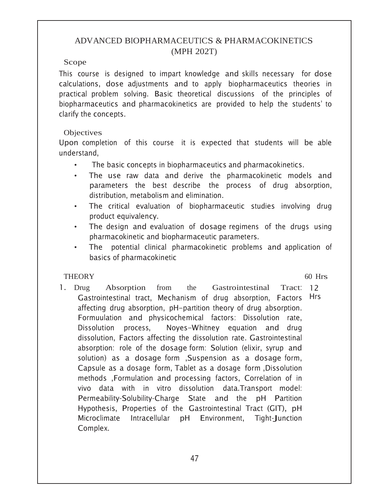# ADVANCED BIOPHARMACEUTICS & PHARMACOKINETICS (MPH 202T)

#### Scope

This course is designed to impart knowledge and skills necessary for dose calculations, dose adjustments and to apply biopharmaceutics theories in practical problem solving. Basic theoretical discussions of the principles of biopharmaceutics and pharmacokinetics are provided to help the students' to clarify the concepts.

## **Objectives**

Upon completion of this course it is expected that students will be able understand.

- The basic concepts in biopharmaceutics and pharmacokinetics.
- The use raw data and derive the pharmacokinetic models and parameters the best describe the process of drug absorption, distribution, metabolism and elimination.
- The critical evaluation of biopharmaceutic studies involving drug product equivalency.
- The design and evaluation of dosage regimens of the drugs using pharmacokinetic and biopharmaceutic parameters.
- The potential clinical pharmacokinetic problems and application of basics of pharmacokinetic

# THEORY 60 Hrs

1. Drug Absorption from the Gastrointestinal Gastrointestinal tract, Mechanism of drug absorption, Factors Hrs affecting drug absorption, pH-partition theory of drug absorption. Formuulation and physicochemical factors: Dissolution rate, Dissolution process. Noves-Whitney equation and drug dissolution, Factors affecting the dissolution rate. Gastrointestinal absorption: role of the dosage-form: Solution (elixir, syrup and solution) as a dosage form ,Suspension as a dosage form, Capsule as a dosage form, Tablet as a dosage form ,Dissolution methods ,Formulation and processing factors, Correlation of in vivo data with in vitro dissolution data.Transport model: Permeability-Solubility-Charge State and the pH Partition Hypothesis, Properties of the Gastrointestinal Tract (GIT), pH Microclimate Intracellular pH Environment, Tight-Junction Complex. Tract: 12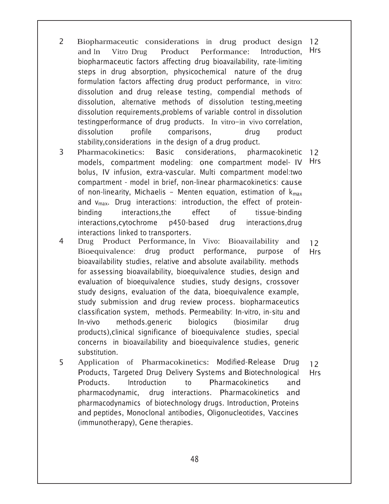- 2 Biopharmaceutic considerations in drug product design 12 and In Vitro Drug Product Performance: Introduction, biopharmaceutic factors affecting drug bioavailability, rate-limiting steps in drug absorption, physicochemical nature of the drug formulation factors affecting drug product performance, in vitro: dissolution and drug release testing, compendial methods of dissolution, alternative methods of dissolution testing,meeting dissolution requirements,problems of variable control in dissolution testingperformance of drug products. In vitro-in vivo correlation, dissolution profile comparisons, drug product stability, considerations in the design of a drug product. Hrs
- 3 Pharmacokinetics: Basic considerations. pharmacokinetic 12 models, compartment modeling: one compartment model-IV Hrs bolus, IV infusion, extra-vascular. Multi compartment model:two compartment - model in brief, non-linear pharmacokinetics: cause of non-linearity, Michaelis – Menten equation, estimation of  $\mathsf{k}_{\mathsf{max}}$ and  $v_{\text{max}}$ . Drug interactions: introduction, the effect of proteinbinding interactions.the effect of tissue-binding interactions.cytochrome p450-based drug interactions, drug interactions linked to transporters.
- Drug Product Performance, In Vivo: Bioavailability and Bioequivalence: drug product performance, purpose of bioavailability studies, relative and absolute availability. methods for assessing bioavailability, bioequivalence studies, design and evaluation of bioequivalence studies, study designs, crossover study designs, evaluation of the data, bioequivalence example, study submission and drug review process. biopharmaceutics classification system, methods. Permeability: In-vitro, in-situ and In-vivo methods.generic biologics (biosimilar drug products), clinical significance of bioequivalence studies, special concerns in bioavailability and bioequivalence studies, generic substitution.  $12<sup>°</sup>$ Hrs
- 5 Application of Pharmacokinetics: Modified-Release Drug Products, Targeted Drug Delivery Systems and Biotechnological Products. Introduction to Pharmacokinetics and pharmacodynamic. drug interactions. Pharmacokinetics and pharmacodynamics of biotechnology drugs. Introduction, Proteins and peptides, Monoclonal antibodies, Oligonucleotides, Vaccines (immunotherapy), Gene therapies.  $12<sup>2</sup>$ Hrs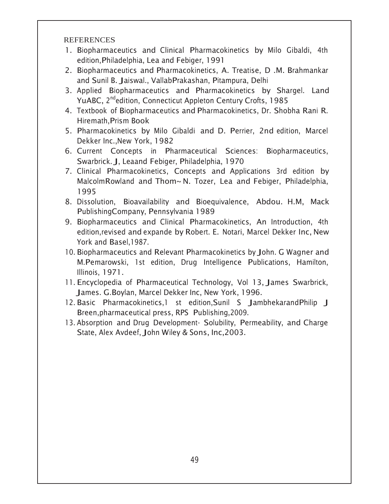- 1. Biopharmaceutics and Clinical Pharmacokinetics by Milo Gibaldi, 4th edition, Philadelphia, Lea and Febiger, 1991
- 2. Biopharmaceutics and Pharmacokinetics, A. Treatise, D.M. Brahmankar and Sunil B. Jaiswal., VallabPrakashan, Pitampura, Delhi
- 3. Applied Biopharmaceutics and Pharmacokinetics by Shargel. Land YuABC, 2<sup>nd</sup>edition, Connecticut Appleton Century Crofts, 1985
- 4. Textbook of Biopharmaceutics and Pharmacokinetics, Dr. Shobha Rani R. Hiremath.Prism Book
- 5. Pharmacokinetics by Milo Gibaldi and D. Perrier, 2nd edition, Marcel Dekker Inc., New York, 1982
- 6. Current Concepts in Pharmaceutical Sciences: Biopharmaceutics, Swarbrick. J, Leaand Febiger, Philadelphia, 1970
- 7. Clinical Pharmacokinetics, Concepts and Applications 3rd edition by Malcolm Rowland and Thom~ N. Tozer, Lea and Febiger, Philadelphia, 1995
- 8. Dissolution, Bioavailability and Bioequivalence, Abdou. H.M, Mack PublishingCompany, Pennsylvania 1989
- 9. Biopharmaceutics and Clinical Pharmacokinetics, An Introduction, 4th edition, revised and expande by Robert. E. Notari, Marcel Dekker Inc, New York and Basel, 1987.
- 10. Biopharmaceutics and Relevant Pharmacokinetics by John. G Wagner and M.Pemarowski, 1st edition, Drug Intelligence Publications, Hamilton, Illinois, 1971.
- 11. Encyclopedia of Pharmaceutical Technology, Vol 13, James Swarbrick, James. G.Boylan, Marcel Dekker Inc, New York, 1996.
- 12. Basic Pharmacokinetics, 1 st edition, Sunil S Jambhekarand Philip J Breen, pharmaceutical press, RPS Publishing, 2009.
- 13. Absorption and Drug Development- Solubility, Permeability, and Charge State, Alex Avdeef, John Wiley & Sons, Inc, 2003.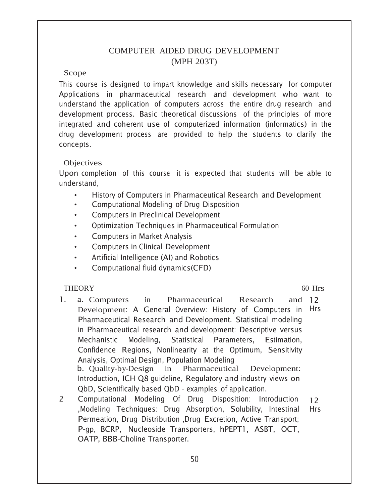# COMPUTER AIDED DRUG DEVELOPMENT (MPH 203T)

#### Scope

This course is designed to impart knowledge and skills necessary for computer Applications in pharmaceutical research and development who want to understand the application of computers across the entire drug research and development process. Basic theoretical discussions of the principles of more integrated and coherent use of computerized information (informatics) in the drug development process are provided to help the students to clarify the concepts.

## **Objectives**

Upon completion of this course it is expected that students will be able to understand.

- History of Computers in Pharmaceutical Research and Development
- Computational Modeling of Drug Disposition
- Computers in Preclinical Development
- Optimization Techniques in Pharmaceutical Formulation
- Computers in Market Analysis
- Computers in Clinical Development
- Artificial Intelligence (AI) and Robotics
- Computational fluid dynamics (CFD)

# THEORY 60 Hrs

- 1. a. Computers in Pharmaceutical Research Development: A General Overview: History of Computers in Hrs Pharmaceutical Research and Development. Statistical modeling in Pharmaceutical research and development: Descriptive versus Mechanistic Modeling. Statistical Parameters. , Estimation, Confidence Regions, Nonlinearity at the Optimum, Sensitivity Analysis, Optimal Design, Population Modeling b. Quality-by-Design In Pharmaceutical Development: Introduction, ICH Q8 guideline, Regulatory and industry views on QbD, Scientifically based QbD - examples of application. and  $12$
- 2 Computational Modeling Of Drug Disposition: Introduction , Modeling Techniques: Drug Absorption, Solubility, Intestinal Permeation, Drug Distribution ,Drug Excretion, Active Transport; P-gp, BCRP, Nucleoside Transporters, hPEPT1, ASBT, OCT, OATP, BBB-Choline Transporter.  $12<sup>°</sup>$ Hrs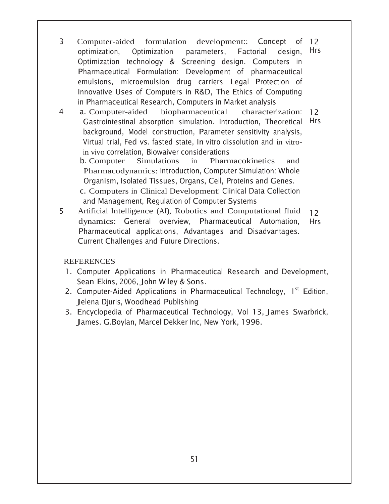- 3 Computer-aided formulation development: optimization, Optimization parameters, Factorial design, Optimization technology & Screening design. Computers in Pharmaceutical Formulation: Development of pharmaceutical emulsions, microemulsion drug carriers Legal Protection of Innovative Uses of Computers in R&D, The Ethics of Computing in Pharmaceutical Research, Computers in Market analysis Concept of 12 Hrs
- 4 a. Computer-aided biopharmaceutical Gastrointestinal absorption simulation. Introduction, Theoretical Hrs background, Model construction, Parameter sensitivity analysis, Virtual trial, Fed vs. fasted state, In vitro dissolution and in vitroin vivo correlation, Biowaiver considerations characterization: 12

b. Computer Simulations in Pharmacokinetics and Pharmacodynamics: Introduction, Computer Simulation: Whole Organism, Isolated Tissues, Organs, Cell, Proteins and Genes. c. Computers in Clinical Development: Clinical Data Collection

and Management, Regulation of Computer Systems Artificial Intelligence (AI), Robotics and Computational fluid dynamics: General overview, Pharmaceutical Automation, Pharmaceutical applications, Advantages and Disadvantages. Current Challenges and Future Directions.  $12<sup>°</sup>$ Hrs

- 1. Computer Applications in Pharmaceutical Research and Development, Sean Ekins, 2006, John Wiley & Sons.
- 2. Computer-Aided Applications in Pharmaceutical Technology, 1<sup>st</sup> Edition, Jelena Djuris, Woodhead Publishing
- 3. Encyclopedia of Pharmaceutical Technology, Vol 13, James Swarbrick, James. G.Boylan, Marcel Dekker Inc, New York, 1996.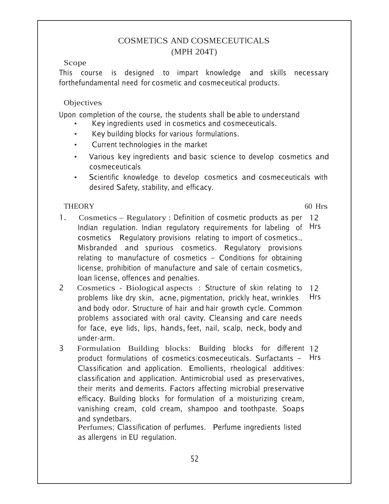# **COSMETICS AND COSMECEUTICALS** (MPH 204T)

## Scope

This course is designed to impart knowledge and skills necessary forthefundamental need for cosmetic and cosmeceutical products.

## Objectives

Upon completion of the course, the students shall be able to understand

- Key ingredients used in cosmetics and cosmeceuticals.
- Key building blocks for various formulations.  $\bullet$
- Current technologies in the market  $\bullet$
- Various key ingredients and basic science to develop cosmetics and cosmeceuticals
- Scientific knowledge to develop cosmetics and cosmeceuticals with desired Safety, stability, and efficacy.

## **THEORY**

 $60$  Hrs

- 1. Cosmetics – Regulatory: Definition of cosmetic products as per 12 Indian regulation. Indian regulatory requirements for labeling of Hrs cosmetics Regulatory provisions relating to import of cosmetics., Misbranded and spurious cosmetics. Regulatory provisions relating to manufacture of cosmetics - Conditions for obtaining license, prohibition of manufacture and sale of certain cosmetics, loan license, offences and penalties.
- $\overline{2}$ Cosmetics - Biological aspects: Structure of skin relating to 12 **Hrs** problems like dry skin, acne, pigmentation, prickly heat, wrinkles and body odor. Structure of hair and hair growth cycle. Common problems associated with oral cavity. Cleansing and care needs for face, eye lids, lips, hands, feet, nail, scalp, neck, body and under-arm.
- Formulation Building blocks: Building blocks for different 12  $\overline{3}$ product formulations of cosmetics/cosmeceuticals. Surfactants - Hrs Classification and application. Emollients, rheological additives: classification and application. Antimicrobial used as preservatives, their merits and demerits. Factors affecting microbial preservative efficacy. Building blocks for formulation of a moisturizing cream, vanishing cream, cold cream, shampoo and toothpaste. Soaps and syndetbars.

Perfumes; Classification of perfumes. Perfume ingredients listed as allergens in EU regulation.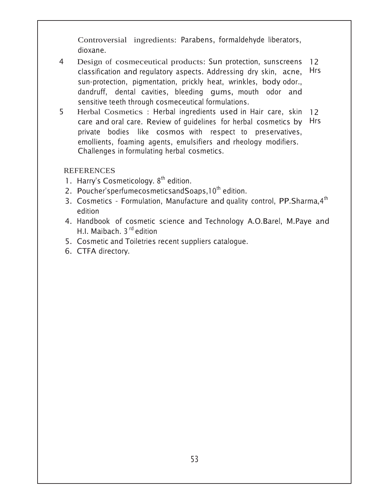Controversial ingredients: Parabens, formaldehyde liberators, dioxane.

- 4 Design of cosmeceutical products: Sun protection, sunscreens 12 classification and regulatory aspects. Addressing dry skin, acne, sun-protection, pigmentation, prickly heat, wrinkles, body odor., dandruff, dental cavities, bleeding gums, mouth odor and sensitive teeth through cosmeceutical formulations. Hrs
- 5 Herbal Cosmetics : Herbal ingredients used in Hair care, skin 12 care and oral care. Review of guidelines for herbal cosmetics by Hrs private bodies like cosmos-with respect to preservatives, emollients, foaming agents, emulsifiers and rheology modifiers. Challenges in formulating herbal cosmetics.

- 1. Harry's Cosmeticology.  $8<sup>th</sup>$  edition.
- 2. Poucher'sperfumecosmeticsandSoaps, 10<sup>th</sup> edition.
- 3. Cosmetics Formulation, Manufacture and quality control, PP.Sharma, 4<sup>th</sup> edition
- 4. Handbook of cosmetic science and Technology A.O.Barel, M.Paye and H.I. Maibach. 3<sup>rd</sup> edition
- 5. Cosmetic and Toiletries recent suppliers catalogue.
- 6. CTFA directory.